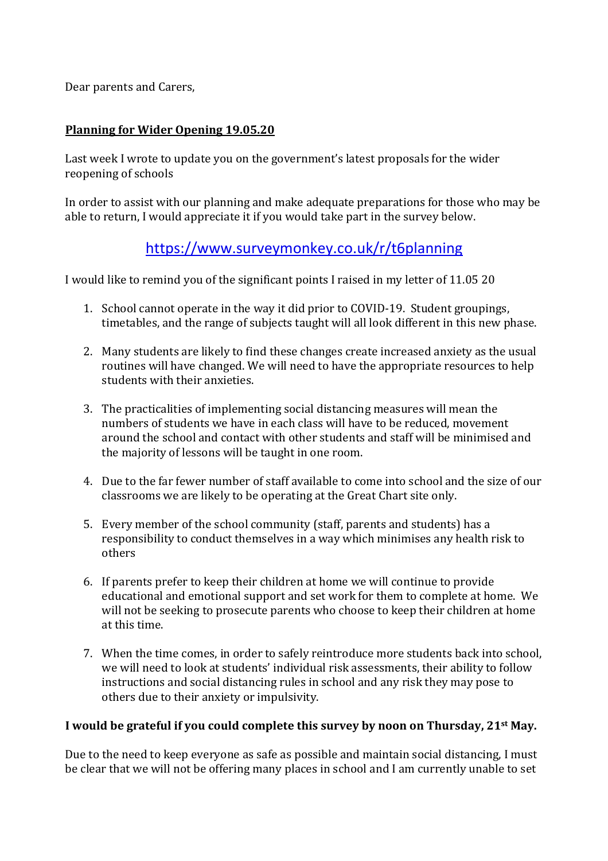Dear parents and Carers,

## **Planning for Wider Opening 19.05.20**

Last week I wrote to update you on the government's latest proposals for the wider reopening of schools

In order to assist with our planning and make adequate preparations for those who may be able to return, I would appreciate it if you would take part in the survey below.

## <https://www.surveymonkey.co.uk/r/t6planning>

I would like to remind you of the significant points I raised in my letter of 11.05 20

- 1. School cannot operate in the way it did prior to COVID-19. Student groupings, timetables, and the range of subjects taught will all look different in this new phase.
- 2. Many students are likely to find these changes create increased anxiety as the usual routines will have changed. We will need to have the appropriate resources to help students with their anxieties.
- 3. The practicalities of implementing social distancing measures will mean the numbers of students we have in each class will have to be reduced, movement around the school and contact with other students and staff will be minimised and the majority of lessons will be taught in one room.
- 4. Due to the far fewer number of staff available to come into school and the size of our classrooms we are likely to be operating at the Great Chart site only.
- 5. Every member of the school community (staff, parents and students) has a responsibility to conduct themselves in a way which minimises any health risk to others
- 6. If parents prefer to keep their children at home we will continue to provide educational and emotional support and set work for them to complete at home. We will not be seeking to prosecute parents who choose to keep their children at home at this time.
- 7. When the time comes, in order to safely reintroduce more students back into school, we will need to look at students' individual risk assessments, their ability to follow instructions and social distancing rules in school and any risk they may pose to others due to their anxiety or impulsivity.

## **I would be grateful if you could complete this survey by noon on Thursday, 21st May.**

Due to the need to keep everyone as safe as possible and maintain social distancing, I must be clear that we will not be offering many places in school and I am currently unable to set